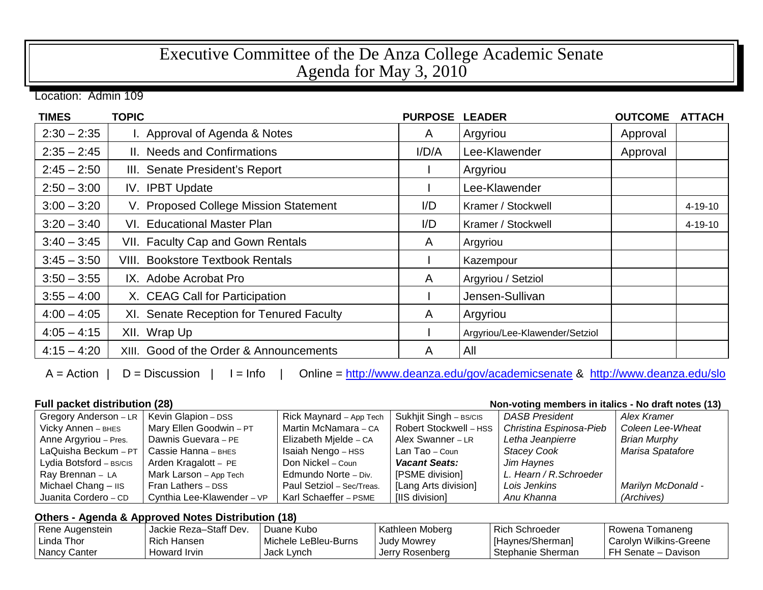## Executive Committee of the De Anza College Academic Senate Agenda for May 3, 2010

Location: Admin 109

| <b>TIMES</b>  | <b>TOPIC</b>                             | <b>PURPOSE</b> | <b>LEADER</b>                  | <b>OUTCOME</b> | <b>ATTACH</b> |
|---------------|------------------------------------------|----------------|--------------------------------|----------------|---------------|
| $2:30 - 2:35$ | I. Approval of Agenda & Notes            | A              | Argyriou                       | Approval       |               |
| $2:35 - 2:45$ | II. Needs and Confirmations              | I/D/A          | Lee-Klawender                  | Approval       |               |
| $2:45 - 2:50$ | III. Senate President's Report           |                | Argyriou                       |                |               |
| $2:50 - 3:00$ | IV. IPBT Update                          |                | Lee-Klawender                  |                |               |
| $3:00 - 3:20$ | V. Proposed College Mission Statement    | $1/D$          | Kramer / Stockwell             |                | $4 - 19 - 10$ |
| $3:20 - 3:40$ | VI. Educational Master Plan              | I/D            | Kramer / Stockwell             |                | 4-19-10       |
| $3:40 - 3:45$ | VII. Faculty Cap and Gown Rentals        | A              | Argyriou                       |                |               |
| $3:45 - 3:50$ | <b>VIII. Bookstore Textbook Rentals</b>  |                | Kazempour                      |                |               |
| $3:50 - 3:55$ | IX. Adobe Acrobat Pro                    | A              | Argyriou / Setziol             |                |               |
| $3:55 - 4:00$ | X. CEAG Call for Participation           |                | Jensen-Sullivan                |                |               |
| $4:00 - 4:05$ | XI. Senate Reception for Tenured Faculty | A              | Argyriou                       |                |               |
| $4:05 - 4:15$ | XII. Wrap Up                             |                | Argyriou/Lee-Klawender/Setziol |                |               |
| $4:15 - 4:20$ | XIII. Good of the Order & Announcements  | A              | All                            |                |               |

A = Action | D = Discussion | I = Info | Online =<http://www.deanza.edu/gov/academicsenate> & <http://www.deanza.edu/slo>

**Full packet distribution (28) Non-voting members in italics - No draft notes (13)**

| Gregory Anderson - LR   | Kevin Glapion - DSS        | Rick Maynard - App Tech   | Sukhjit Singh - BS/CIS | <b>DASB President</b>   | Alex Kramer         |
|-------------------------|----------------------------|---------------------------|------------------------|-------------------------|---------------------|
| Vicky Annen - BHES      | Mary Ellen Goodwin - PT    | Martin McNamara - CA      | Robert Stockwell - HSS | Christina Espinosa-Pieb | Coleen Lee-Wheat    |
| Anne Argyriou - Pres.   | Dawnis Guevara - PE        | Elizabeth Mjelde - CA     | Alex Swanner - LR      | Letha Jeanpierre        | <b>Brian Murphy</b> |
| LaQuisha Beckum - $PT$  | Cassie Hanna – внєѕ        | Isaiah Nengo - HSS        | Lan Tao – Coun         | <b>Stacey Cook</b>      | Marisa Spatafore    |
| Lydia Botsford - BS/CIS | Arden Kragalott - PE       | Don Nickel – Coun         | <b>Vacant Seats:</b>   | Jim Haynes              |                     |
| Ray Brennan - LA        | Mark Larson - App Tech     | Edmundo Norte - Div.      | [PSME division]        | L. Hearn / R. Schroeder |                     |
| Michael Chang - IIS     | Fran Lathers - DSS         | Paul Setziol - Sec/Treas. | [Lang Arts division]   | Lois Jenkins            | Marilyn McDonald -  |
| Juanita Cordero - CD    | Cynthia Lee-Klawender - VP | Karl Schaeffer - PSME     | [IIS division]         | Anu Khanna              | (Archives)          |

## **Others - Agenda & Approved Notes Distribution (18)**

| Rene Augenstein | Jackie Reza-Staff Dev. | Juane Kubo           | Kathleen Moberg | Rich Schroeder    | Rowena Tomaneng        |
|-----------------|------------------------|----------------------|-----------------|-------------------|------------------------|
| l Linda Thor    | Rich Hansen            | Michele LeBleu-Burns | Judy Mowrey     | [Haynes/Sherman]  | Carolyn Wilkins-Greene |
| Nancy Canter    | Howard Irvin           | Jack Lynch           | Jerry Rosenberg | Stephanie Sherman | FH Senate - Davison    |